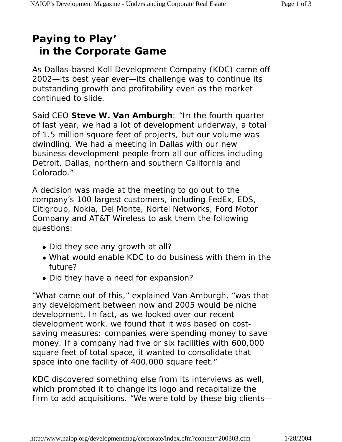## **Paying to Play' in the Corporate Game**

As Dallas-based Koll Development Company (KDC) came off 2002—its best year ever—its challenge was to continue its outstanding growth and profitability even as the market continued to slide.

Said CEO **Steve W. Van Amburgh**: "In the fourth quarter of last year, we had a lot of development underway, a total of 1.5 million square feet of projects, but our volume was dwindling. We had a meeting in Dallas with our new business development people from all our offices including Detroit, Dallas, northern and southern California and Colorado."

A decision was made at the meeting to go out to the company's 100 largest customers, including FedEx, EDS, Citigroup, Nokia, Del Monte, Nortel Networks, Ford Motor Company and AT&T Wireless to ask them the following questions:

- Did they see any growth at all?
- What would enable KDC to do business with them in the future?
- Did they have a need for expansion?

"What came out of this," explained Van Amburgh, "was that any development between now and 2005 would be niche development. In fact, as we looked over our recent development work, we found that it was based on costsaving measures: companies were spending money to save money. If a company had five or six facilities with 600,000 square feet of total space, it wanted to consolidate that space into one facility of 400,000 square feet."

KDC discovered something else from its interviews as well, which prompted it to change its logo and recapitalize the firm to add acquisitions. "We were told by these big clients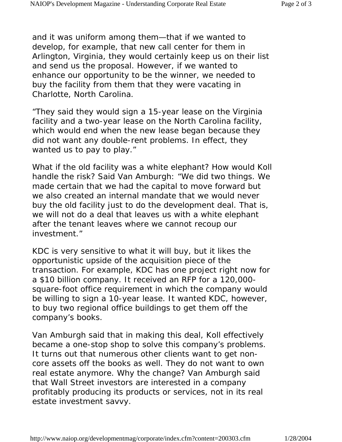and it was uniform among them—that if we wanted to develop, for example, that new call center for them in Arlington, Virginia, they would certainly keep us on their list and send us the proposal. However, if we wanted to enhance our opportunity to be the winner, we needed to buy the facility from them that they were vacating in Charlotte, North Carolina.

"They said they would sign a 15-year lease on the Virginia facility and a two-year lease on the North Carolina facility, which would end when the new lease began because they did not want any double-rent problems. In effect, they wanted us to pay to play."

What if the old facility was a white elephant? How would Koll handle the risk? Said Van Amburgh: "We did two things. We made certain that we had the capital to move forward but we also created an internal mandate that we would never buy the old facility just to do the development deal. That is, we will not do a deal that leaves us with a white elephant after the tenant leaves where we cannot recoup our investment."

KDC is very sensitive to what it will buy, but it likes the opportunistic upside of the acquisition piece of the transaction. For example, KDC has one project right now for a \$10 billion company. It received an RFP for a 120,000 square-foot office requirement in which the company would be willing to sign a 10-year lease. It wanted KDC, however, to buy two regional office buildings to get them off the company's books.

Van Amburgh said that in making this deal, Koll effectively became a one-stop shop to solve this company's problems. It turns out that numerous other clients want to get noncore assets off the books as well. They do not want to own real estate anymore. Why the change? Van Amburgh said that Wall Street investors are interested in a company profitably producing its products or services, not in its real estate investment savvy.